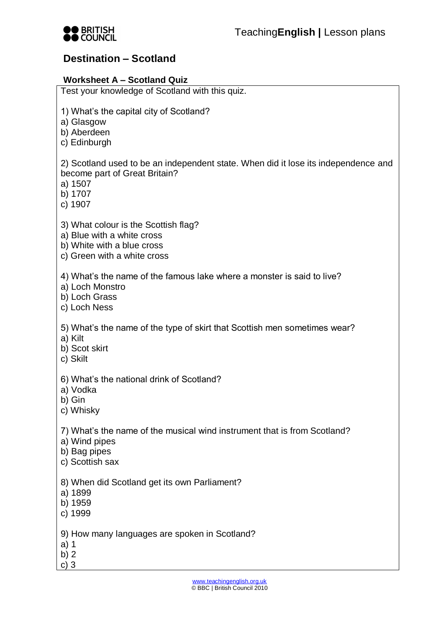

# **Destination – Scotland**

## **Worksheet A – Scotland Quiz**

| Test your knowledge of Scotland with this quiz.                                                                                                      |  |  |
|------------------------------------------------------------------------------------------------------------------------------------------------------|--|--|
| 1) What's the capital city of Scotland?<br>a) Glasgow<br>b) Aberdeen<br>c) Edinburgh                                                                 |  |  |
| 2) Scotland used to be an independent state. When did it lose its independence and<br>become part of Great Britain?<br>a) 1507<br>b) 1707<br>c) 1907 |  |  |
| 3) What colour is the Scottish flag?<br>a) Blue with a white cross<br>b) White with a blue cross<br>c) Green with a white cross                      |  |  |
| 4) What's the name of the famous lake where a monster is said to live?<br>a) Loch Monstro<br>b) Loch Grass<br>c) Loch Ness                           |  |  |
| 5) What's the name of the type of skirt that Scottish men sometimes wear?<br>a) Kilt<br>b) Scot skirt<br>c) Skilt                                    |  |  |
| 6) What's the national drink of Scotland?<br>a) Vodka<br>b) Gin<br>c) Whisky                                                                         |  |  |
| 7) What's the name of the musical wind instrument that is from Scotland?<br>a) Wind pipes<br>b) Bag pipes<br>c) Scottish sax                         |  |  |
| 8) When did Scotland get its own Parliament?<br>a) 1899<br>b) 1959<br>c) 1999                                                                        |  |  |
| 9) How many languages are spoken in Scotland?<br>a) 1<br>b) $2$<br>c) $3$                                                                            |  |  |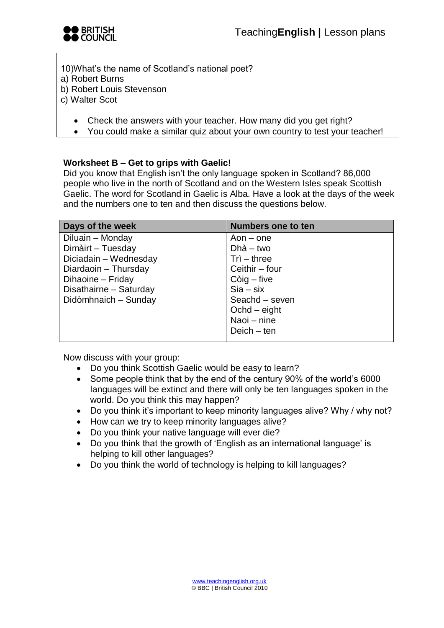

10)What's the name of Scotland's national poet?

- a) Robert Burns
- b) Robert Louis Stevenson
- c) Walter Scot
	- Check the answers with your teacher. How many did you get right?
	- You could make a similar quiz about your own country to test your teacher!

#### **Worksheet B – Get to grips with Gaelic!**

Did you know that English isn't the only language spoken in Scotland? 86,000 people who live in the north of Scotland and on the Western Isles speak Scottish Gaelic. The word for Scotland in Gaelic is Alba. Have a look at the days of the week and the numbers one to ten and then discuss the questions below.

| Days of the week       | <b>Numbers one to ten</b> |
|------------------------|---------------------------|
| Diluain - Monday       | $A$ on – one              |
| Dimàirt - Tuesday      | $Dh\dot{a} - two$         |
| Diciadain - Wednesday  | $Tri - three$             |
| Diardaoin - Thursday   | Ceithir - four            |
| Dihaoine - Friday      | $Còig$ – five             |
| Disathairne - Saturday | $Sia - six$               |
| Didòmhnaich - Sunday   | Seachd - seven            |
|                        | $Ochd - eight$            |
|                        | Naoi – nine               |
|                        | $Deich - ten$             |
|                        |                           |

Now discuss with your group:

- Do you think Scottish Gaelic would be easy to learn?
- Some people think that by the end of the century 90% of the world's 6000 languages will be extinct and there will only be ten languages spoken in the world. Do you think this may happen?
- Do you think it's important to keep minority languages alive? Why / why not?
- How can we try to keep minority languages alive?
- Do you think your native language will ever die?
- Do you think that the growth of 'English as an international language' is helping to kill other languages?
- Do you think the world of technology is helping to kill languages?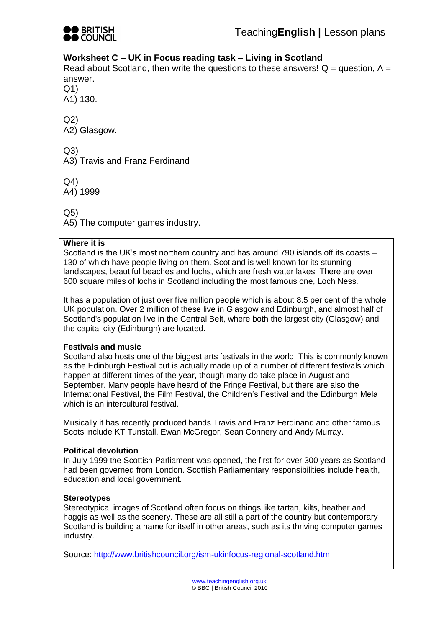

### **Worksheet C – UK in Focus reading task – Living in Scotland**

Read about Scotland, then write the questions to these answers!  $Q =$  question,  $A =$ answer.

Q1)

A1) 130.

Q2) A2) Glasgow.

Q3)

A3) Travis and Franz Ferdinand

Q4)

A4) 1999

Q5)

A5) The computer games industry.

#### **Where it is**

Scotland is the UK's most northern country and has around 790 islands off its coasts – 130 of which have people living on them. Scotland is well known for its stunning landscapes, beautiful beaches and lochs, which are fresh water lakes. There are over 600 square miles of lochs in Scotland including the most famous one, Loch Ness.

It has a population of just over five million people which is about 8.5 per cent of the whole UK population. Over 2 million of these live in Glasgow and Edinburgh, and almost half of Scotland's population live in the Central Belt, where both the largest city (Glasgow) and the capital city (Edinburgh) are located.

#### **Festivals and music**

Scotland also hosts one of the biggest arts festivals in the world. This is commonly known as the Edinburgh Festival but is actually made up of a number of different festivals which happen at different times of the year, though many do take place in August and September. Many people have heard of the Fringe Festival, but there are also the International Festival, the Film Festival, the Children's Festival and the Edinburgh Mela which is an intercultural festival.

Musically it has recently produced bands Travis and Franz Ferdinand and other famous Scots include KT Tunstall, Ewan McGregor, Sean Connery and Andy Murray.

#### **Political devolution**

In July 1999 the Scottish Parliament was opened, the first for over 300 years as Scotland had been governed from London. Scottish Parliamentary responsibilities include health, education and local government.

#### **Stereotypes**

Stereotypical images of Scotland often focus on things like tartan, kilts, heather and haggis as well as the scenery. These are all still a part of the country but contemporary Scotland is building a name for itself in other areas, such as its thriving computer games industry.

Source:<http://www.britishcouncil.org/ism-ukinfocus-regional-scotland.htm>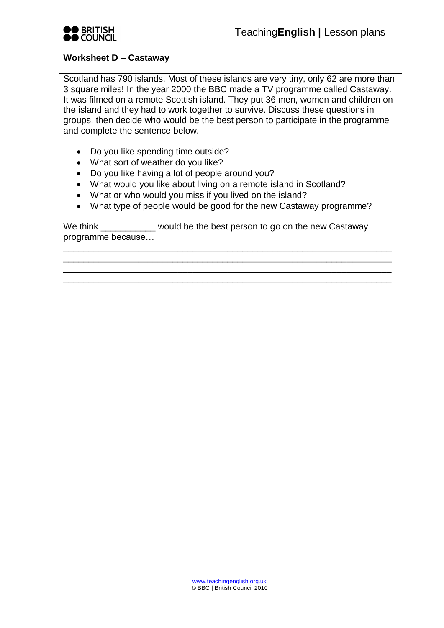

#### **Worksheet D – Castaway**

Scotland has 790 islands. Most of these islands are very tiny, only 62 are more than 3 square miles! In the year 2000 the BBC made a TV programme called Castaway. It was filmed on a remote Scottish island. They put 36 men, women and children on the island and they had to work together to survive. Discuss these questions in groups, then decide who would be the best person to participate in the programme and complete the sentence below.

- Do you like spending time outside?
- What sort of weather do you like?
- Do you like having a lot of people around you?
- What would you like about living on a remote island in Scotland?
- What or who would you miss if you lived on the island?
- What type of people would be good for the new Castaway programme?

\_\_\_\_\_\_\_\_\_\_\_\_\_\_\_\_\_\_\_\_\_\_\_\_\_\_\_\_\_\_\_\_\_\_\_\_\_\_\_\_\_\_\_\_\_\_\_\_\_\_\_\_\_\_\_\_\_\_\_\_\_\_\_\_\_\_ \_\_\_\_\_\_\_\_\_\_\_\_\_\_\_\_\_\_\_\_\_\_\_\_\_\_\_\_\_\_\_\_\_\_\_\_\_\_\_\_\_\_\_\_\_\_\_\_\_\_\_\_\_\_\_\_\_\_\_\_\_\_\_\_\_\_ \_\_\_\_\_\_\_\_\_\_\_\_\_\_\_\_\_\_\_\_\_\_\_\_\_\_\_\_\_\_\_\_\_\_\_\_\_\_\_\_\_\_\_\_\_\_\_\_\_\_\_\_\_\_\_\_\_\_\_\_\_\_\_\_\_\_ \_\_\_\_\_\_\_\_\_\_\_\_\_\_\_\_\_\_\_\_\_\_\_\_\_\_\_\_\_\_\_\_\_\_\_\_\_\_\_\_\_\_\_\_\_\_\_\_\_\_\_\_\_\_\_\_\_\_\_\_\_\_\_\_\_\_

We think would be the best person to go on the new Castaway programme because…